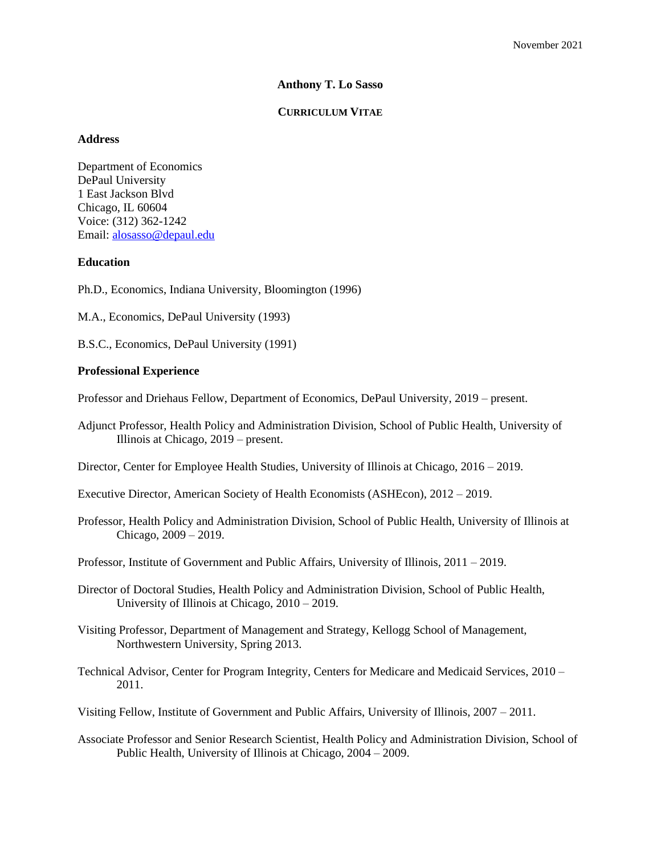# **Anthony T. Lo Sasso**

# **CURRICULUM VITAE**

# **Address**

Department of Economics DePaul University 1 East Jackson Blvd Chicago, IL 60604 Voice: (312) 362-1242 Email: [alosasso@depaul.edu](mailto:alosasso@depaul.edu)

# **Education**

Ph.D., Economics, Indiana University, Bloomington (1996)

M.A., Economics, DePaul University (1993)

B.S.C., Economics, DePaul University (1991)

# **Professional Experience**

Professor and Driehaus Fellow, Department of Economics, DePaul University, 2019 – present.

Adjunct Professor, Health Policy and Administration Division, School of Public Health, University of Illinois at Chicago, 2019 – present.

Director, Center for Employee Health Studies, University of Illinois at Chicago, 2016 – 2019.

Executive Director, American Society of Health Economists (ASHEcon), 2012 – 2019.

Professor, Health Policy and Administration Division, School of Public Health, University of Illinois at Chicago, 2009 – 2019.

Professor, Institute of Government and Public Affairs, University of Illinois, 2011 – 2019.

- Director of Doctoral Studies, Health Policy and Administration Division, School of Public Health, University of Illinois at Chicago, 2010 – 2019.
- Visiting Professor, Department of Management and Strategy, Kellogg School of Management, Northwestern University, Spring 2013.

Technical Advisor, Center for Program Integrity, Centers for Medicare and Medicaid Services, 2010 – 2011.

Visiting Fellow, Institute of Government and Public Affairs, University of Illinois, 2007 – 2011.

Associate Professor and Senior Research Scientist, Health Policy and Administration Division, School of Public Health, University of Illinois at Chicago, 2004 – 2009.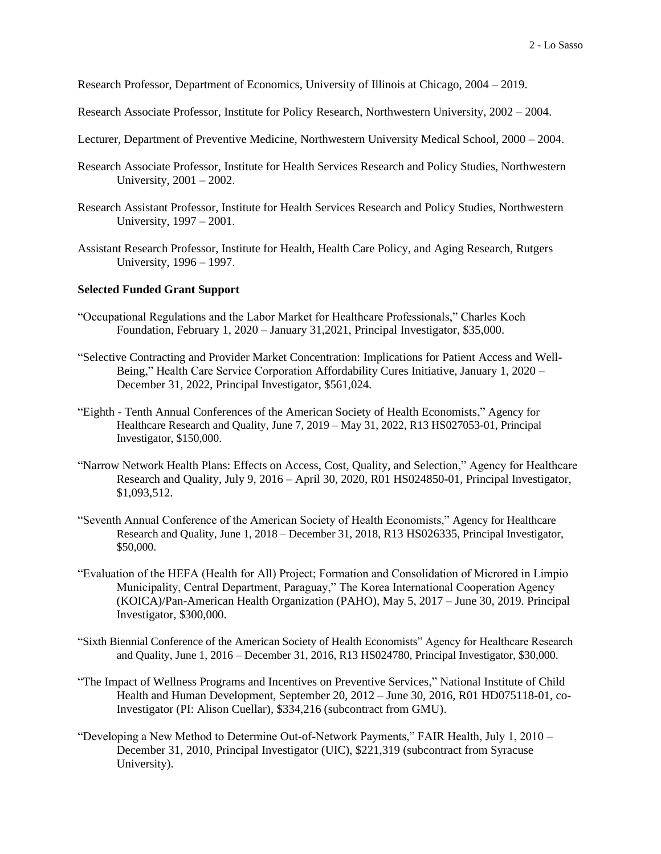Research Professor, Department of Economics, University of Illinois at Chicago, 2004 – 2019.

- Research Associate Professor, Institute for Policy Research, Northwestern University, 2002 2004.
- Lecturer, Department of Preventive Medicine, Northwestern University Medical School, 2000 2004.
- Research Associate Professor, Institute for Health Services Research and Policy Studies, Northwestern University, 2001 – 2002.
- Research Assistant Professor, Institute for Health Services Research and Policy Studies, Northwestern University, 1997 – 2001.
- Assistant Research Professor, Institute for Health, Health Care Policy, and Aging Research, Rutgers University, 1996 – 1997.

#### **Selected Funded Grant Support**

- "Occupational Regulations and the Labor Market for Healthcare Professionals," Charles Koch Foundation, February 1, 2020 – January 31,2021, Principal Investigator, \$35,000.
- "Selective Contracting and Provider Market Concentration: Implications for Patient Access and Well-Being," Health Care Service Corporation Affordability Cures Initiative, January 1, 2020 – December 31, 2022, Principal Investigator, \$561,024.
- "Eighth Tenth Annual Conferences of the American Society of Health Economists," Agency for Healthcare Research and Quality, June 7, 2019 – May 31, 2022, R13 HS027053-01, Principal Investigator, \$150,000.
- "Narrow Network Health Plans: Effects on Access, Cost, Quality, and Selection," Agency for Healthcare Research and Quality, July 9, 2016 – April 30, 2020, R01 HS024850-01, Principal Investigator, \$1,093,512.
- "Seventh Annual Conference of the American Society of Health Economists," Agency for Healthcare Research and Quality, June 1, 2018 – December 31, 2018, R13 HS026335, Principal Investigator, \$50,000.
- "Evaluation of the HEFA (Health for All) Project; Formation and Consolidation of Microred in Limpio Municipality, Central Department, Paraguay," The Korea International Cooperation Agency (KOICA)/Pan-American Health Organization (PAHO), May 5, 2017 – June 30, 2019. Principal Investigator, \$300,000.
- "Sixth Biennial Conference of the American Society of Health Economists" Agency for Healthcare Research and Quality, June 1, 2016 – December 31, 2016, R13 HS024780, Principal Investigator, \$30,000.
- "The Impact of Wellness Programs and Incentives on Preventive Services," National Institute of Child Health and Human Development, September 20, 2012 – June 30, 2016, R01 HD075118-01, co-Investigator (PI: Alison Cuellar), \$334,216 (subcontract from GMU).
- "Developing a New Method to Determine Out-of-Network Payments," FAIR Health, July 1, 2010 December 31, 2010, Principal Investigator (UIC), \$221,319 (subcontract from Syracuse University).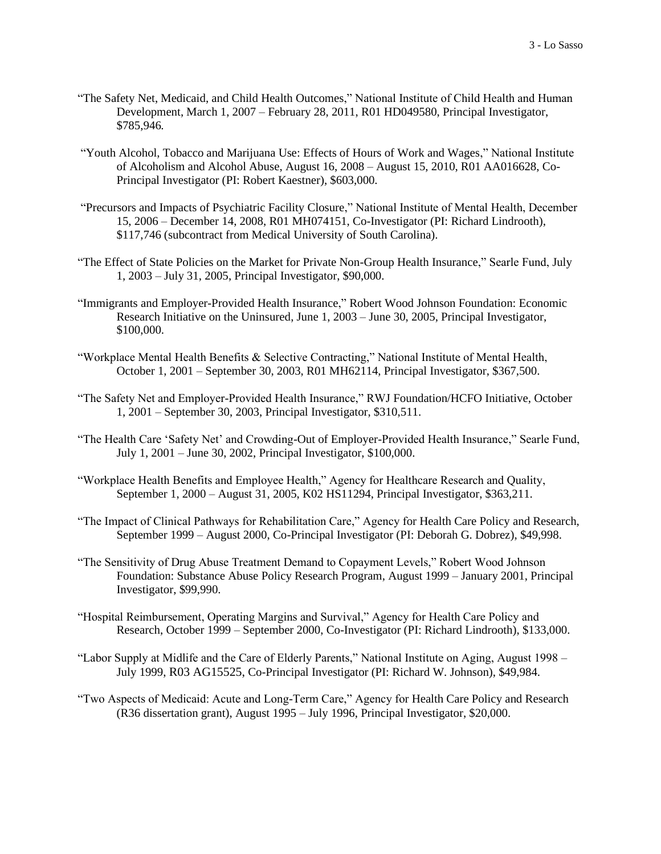- "The Safety Net, Medicaid, and Child Health Outcomes," National Institute of Child Health and Human Development, March 1, 2007 – February 28, 2011, R01 HD049580, Principal Investigator, \$785,946*.*
- "Youth Alcohol, Tobacco and Marijuana Use: Effects of Hours of Work and Wages," National Institute of Alcoholism and Alcohol Abuse, August 16, 2008 – August 15, 2010, R01 AA016628, Co-Principal Investigator (PI: Robert Kaestner), \$603,000.
- "Precursors and Impacts of Psychiatric Facility Closure," National Institute of Mental Health, December 15, 2006 – December 14, 2008, R01 MH074151, Co-Investigator (PI: Richard Lindrooth), \$117,746 (subcontract from Medical University of South Carolina).
- "The Effect of State Policies on the Market for Private Non-Group Health Insurance," Searle Fund, July 1, 2003 – July 31, 2005, Principal Investigator, \$90,000.
- "Immigrants and Employer-Provided Health Insurance," Robert Wood Johnson Foundation: Economic Research Initiative on the Uninsured, June 1, 2003 – June 30, 2005, Principal Investigator, \$100,000.
- "Workplace Mental Health Benefits & Selective Contracting," National Institute of Mental Health, October 1, 2001 – September 30, 2003, R01 MH62114, Principal Investigator, \$367,500.
- "The Safety Net and Employer-Provided Health Insurance," RWJ Foundation/HCFO Initiative, October 1, 2001 – September 30, 2003, Principal Investigator, \$310,511.
- "The Health Care 'Safety Net' and Crowding-Out of Employer-Provided Health Insurance," Searle Fund, July 1, 2001 – June 30, 2002, Principal Investigator, \$100,000.
- "Workplace Health Benefits and Employee Health," Agency for Healthcare Research and Quality, September 1, 2000 – August 31, 2005, K02 HS11294, Principal Investigator, \$363,211.
- "The Impact of Clinical Pathways for Rehabilitation Care," Agency for Health Care Policy and Research, September 1999 – August 2000, Co-Principal Investigator (PI: Deborah G. Dobrez), \$49,998.
- "The Sensitivity of Drug Abuse Treatment Demand to Copayment Levels," Robert Wood Johnson Foundation: Substance Abuse Policy Research Program, August 1999 – January 2001, Principal Investigator, \$99,990.
- "Hospital Reimbursement, Operating Margins and Survival," Agency for Health Care Policy and Research, October 1999 – September 2000, Co-Investigator (PI: Richard Lindrooth), \$133,000.
- "Labor Supply at Midlife and the Care of Elderly Parents," National Institute on Aging, August 1998 July 1999, R03 AG15525, Co-Principal Investigator (PI: Richard W. Johnson), \$49,984.
- "Two Aspects of Medicaid: Acute and Long-Term Care," Agency for Health Care Policy and Research (R36 dissertation grant), August 1995 – July 1996, Principal Investigator, \$20,000.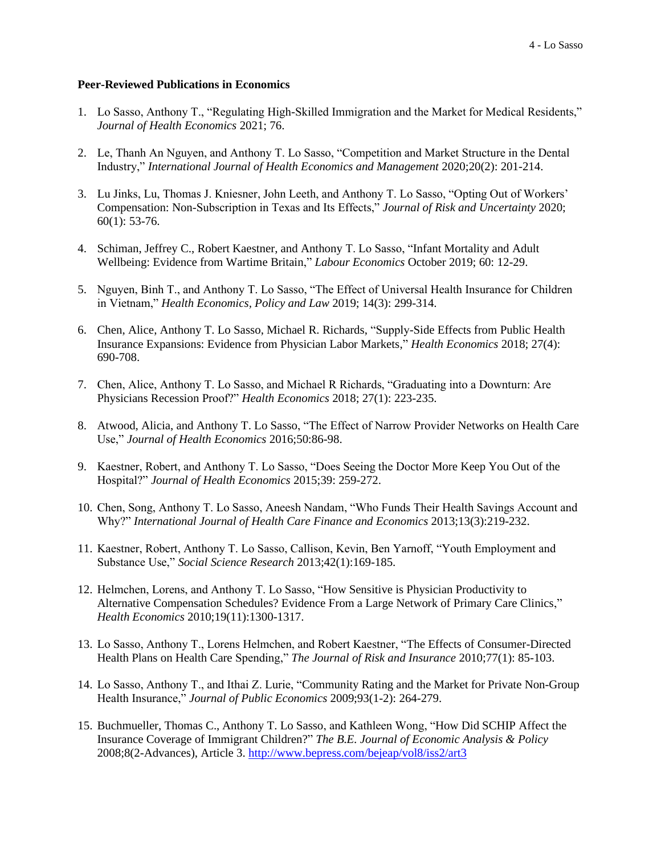### **Peer-Reviewed Publications in Economics**

- 1. Lo Sasso, Anthony T., "Regulating High-Skilled Immigration and the Market for Medical Residents," *Journal of Health Economics* 2021; 76.
- 2. Le, Thanh An Nguyen, and Anthony T. Lo Sasso, "Competition and Market Structure in the Dental Industry," *International Journal of Health Economics and Management* 2020;20(2): 201-214.
- 3. Lu Jinks, Lu, Thomas J. Kniesner, John Leeth, and Anthony T. Lo Sasso, "Opting Out of Workers' Compensation: Non-Subscription in Texas and Its Effects," *Journal of Risk and Uncertainty* 2020; 60(1): 53-76.
- 4. Schiman, Jeffrey C., Robert Kaestner, and Anthony T. Lo Sasso, "Infant Mortality and Adult Wellbeing: Evidence from Wartime Britain," *Labour Economics* October 2019; 60: 12-29.
- 5. Nguyen, Binh T., and Anthony T. Lo Sasso, "The Effect of Universal Health Insurance for Children in Vietnam," *Health Economics, Policy and Law* 2019; 14(3): 299-314.
- 6. Chen, Alice, Anthony T. Lo Sasso, Michael R. Richards, "Supply-Side Effects from Public Health Insurance Expansions: Evidence from Physician Labor Markets," *Health Economics* 2018; 27(4): 690-708.
- 7. Chen, Alice, Anthony T. Lo Sasso, and Michael R Richards, "Graduating into a Downturn: Are Physicians Recession Proof?" *Health Economics* 2018; 27(1): 223-235.
- 8. Atwood, Alicia, and Anthony T. Lo Sasso, "The Effect of Narrow Provider Networks on Health Care Use," *Journal of Health Economics* 2016;50:86-98.
- 9. Kaestner, Robert, and Anthony T. Lo Sasso, "Does Seeing the Doctor More Keep You Out of the Hospital?" *Journal of Health Economics* 2015;39: 259-272.
- 10. Chen, Song, Anthony T. Lo Sasso, Aneesh Nandam, "Who Funds Their Health Savings Account and Why?" *International Journal of Health Care Finance and Economics* 2013;13(3):219-232.
- 11. Kaestner, Robert, Anthony T. Lo Sasso, Callison, Kevin, Ben Yarnoff, "Youth Employment and Substance Use," *Social Science Research* 2013;42(1):169-185.
- 12. Helmchen, Lorens, and Anthony T. Lo Sasso, "How Sensitive is Physician Productivity to Alternative Compensation Schedules? Evidence From a Large Network of Primary Care Clinics," *Health Economics* 2010;19(11):1300-1317.
- 13. Lo Sasso, Anthony T., Lorens Helmchen, and Robert Kaestner, "The Effects of Consumer-Directed Health Plans on Health Care Spending," *The Journal of Risk and Insurance* 2010;77(1): 85-103.
- 14. Lo Sasso, Anthony T., and Ithai Z. Lurie, "Community Rating and the Market for Private Non-Group Health Insurance," *Journal of Public Economics* 2009;93(1-2): 264-279.
- 15. Buchmueller, Thomas C., Anthony T. Lo Sasso, and Kathleen Wong, "How Did SCHIP Affect the Insurance Coverage of Immigrant Children?" *The B.E. Journal of Economic Analysis & Policy* 2008;8(2-Advances), Article 3.<http://www.bepress.com/bejeap/vol8/iss2/art3>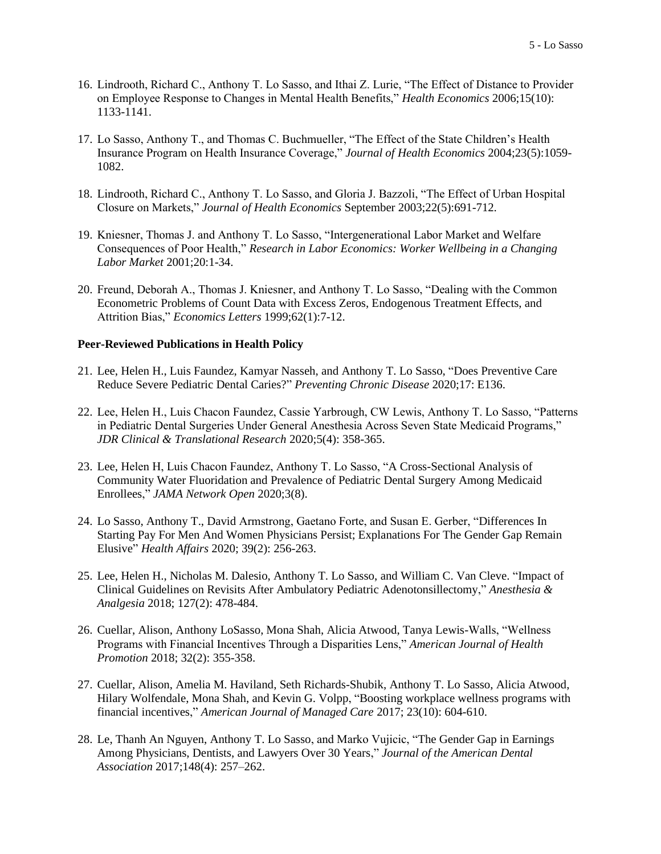- 16. Lindrooth, Richard C., Anthony T. Lo Sasso, and Ithai Z. Lurie, "The Effect of Distance to Provider on Employee Response to Changes in Mental Health Benefits," *Health Economics* 2006;15(10): 1133-1141.
- 17. Lo Sasso, Anthony T., and Thomas C. Buchmueller, "The Effect of the State Children's Health Insurance Program on Health Insurance Coverage," *Journal of Health Economics* 2004;23(5):1059- 1082.
- 18. Lindrooth, Richard C., Anthony T. Lo Sasso, and Gloria J. Bazzoli, "The Effect of Urban Hospital Closure on Markets," *Journal of Health Economics* September 2003;22(5):691-712.
- 19. Kniesner, Thomas J. and Anthony T. Lo Sasso, "Intergenerational Labor Market and Welfare Consequences of Poor Health," *Research in Labor Economics: Worker Wellbeing in a Changing Labor Market* 2001;20:1-34.
- 20. Freund, Deborah A., Thomas J. Kniesner, and Anthony T. Lo Sasso, "Dealing with the Common Econometric Problems of Count Data with Excess Zeros, Endogenous Treatment Effects, and Attrition Bias," *Economics Letters* 1999;62(1):7-12.

#### **Peer-Reviewed Publications in Health Policy**

- 21. Lee, Helen H., Luis Faundez, Kamyar Nasseh, and Anthony T. Lo Sasso, "Does Preventive Care Reduce Severe Pediatric Dental Caries?" *Preventing Chronic Disease* 2020;17: E136.
- 22. Lee, Helen H., Luis Chacon Faundez, Cassie Yarbrough, CW Lewis, Anthony T. Lo Sasso, "Patterns in Pediatric Dental Surgeries Under General Anesthesia Across Seven State Medicaid Programs," *JDR Clinical & Translational Research* 2020;5(4): 358-365.
- 23. Lee, Helen H, Luis Chacon Faundez, Anthony T. Lo Sasso, "A Cross-Sectional Analysis of Community Water Fluoridation and Prevalence of Pediatric Dental Surgery Among Medicaid Enrollees," *JAMA Network Open* 2020;3(8).
- 24. Lo Sasso, Anthony T., David Armstrong, Gaetano Forte, and Susan E. Gerber, "Differences In Starting Pay For Men And Women Physicians Persist; Explanations For The Gender Gap Remain Elusive" *Health Affairs* 2020; 39(2): 256-263.
- 25. Lee, Helen H., Nicholas M. Dalesio, Anthony T. Lo Sasso, and William C. Van Cleve. "Impact of Clinical Guidelines on Revisits After Ambulatory Pediatric Adenotonsillectomy," *Anesthesia & Analgesia* 2018; 127(2): 478-484.
- 26. Cuellar, Alison, Anthony LoSasso, Mona Shah, Alicia Atwood, Tanya Lewis-Walls, "Wellness Programs with Financial Incentives Through a Disparities Lens," *American Journal of Health Promotion* 2018; 32(2): 355-358.
- 27. Cuellar, Alison, Amelia M. Haviland, Seth Richards-Shubik, Anthony T. Lo Sasso, Alicia Atwood, Hilary Wolfendale, Mona Shah, and Kevin G. Volpp, "Boosting workplace wellness programs with financial incentives," *American Journal of Managed Care* 2017; 23(10): 604-610.
- 28. Le, Thanh An Nguyen, Anthony T. Lo Sasso, and Marko Vujicic, "The Gender Gap in Earnings Among Physicians, Dentists, and Lawyers Over 30 Years," *Journal of the American Dental Association* 2017;148(4): 257–262.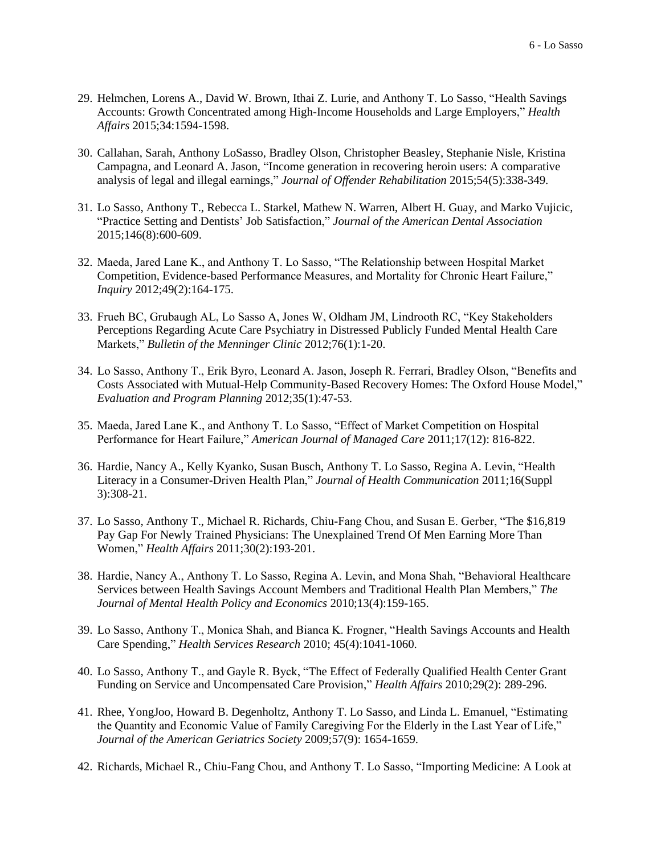- 29. Helmchen, Lorens A., David W. Brown, Ithai Z. Lurie, and Anthony T. Lo Sasso, "Health Savings Accounts: Growth Concentrated among High-Income Households and Large Employers," *Health Affairs* 2015;34:1594-1598.
- 30. Callahan, Sarah, Anthony LoSasso, Bradley Olson, Christopher Beasley, Stephanie Nisle, Kristina Campagna, and Leonard A. Jason, "Income generation in recovering heroin users: A comparative analysis of legal and illegal earnings," *Journal of Offender Rehabilitation* 2015;54(5):338-349.
- 31. Lo Sasso, Anthony T., Rebecca L. Starkel, Mathew N. Warren, Albert H. Guay, and Marko Vujicic, "Practice Setting and Dentists' Job Satisfaction," *Journal of the American Dental Association* 2015;146(8):600-609.
- 32. Maeda, Jared Lane K., and Anthony T. Lo Sasso, "The Relationship between Hospital Market Competition, Evidence-based Performance Measures, and Mortality for Chronic Heart Failure," *Inquiry* 2012;49(2):164-175.
- 33. Frueh BC, Grubaugh AL, Lo Sasso A, Jones W, Oldham JM, Lindrooth RC, "Key Stakeholders Perceptions Regarding Acute Care Psychiatry in Distressed Publicly Funded Mental Health Care Markets," *Bulletin of the Menninger Clinic* 2012;76(1):1-20.
- 34. Lo Sasso, Anthony T., Erik Byro, Leonard A. Jason, Joseph R. Ferrari, Bradley Olson, "Benefits and Costs Associated with Mutual-Help Community-Based Recovery Homes: The Oxford House Model," *Evaluation and Program Planning* 2012;35(1):47-53.
- 35. Maeda, Jared Lane K., and Anthony T. Lo Sasso, "Effect of Market Competition on Hospital Performance for Heart Failure," *American Journal of Managed Care* 2011;17(12): 816-822.
- 36. Hardie, Nancy A., Kelly Kyanko, Susan Busch, Anthony T. Lo Sasso, Regina A. Levin, "Health Literacy in a Consumer-Driven Health Plan," *Journal of Health Communication* 2011;16(Suppl 3):308-21.
- 37. Lo Sasso, Anthony T., Michael R. Richards, Chiu-Fang Chou, and Susan E. Gerber, "The \$16,819 Pay Gap For Newly Trained Physicians: The Unexplained Trend Of Men Earning More Than Women," *Health Affairs* 2011;30(2):193-201.
- 38. Hardie, Nancy A., Anthony T. Lo Sasso, Regina A. Levin, and Mona Shah, "Behavioral Healthcare Services between Health Savings Account Members and Traditional Health Plan Members," *The Journal of Mental Health Policy and Economics* 2010;13(4):159-165.
- 39. Lo Sasso, Anthony T., Monica Shah, and Bianca K. Frogner, "Health Savings Accounts and Health Care Spending," *Health Services Research* 2010; 45(4):1041-1060.
- 40. Lo Sasso, Anthony T., and Gayle R. Byck, "The Effect of Federally Qualified Health Center Grant Funding on Service and Uncompensated Care Provision," *Health Affairs* 2010;29(2): 289-296.
- 41. Rhee, YongJoo, Howard B. Degenholtz, Anthony T. Lo Sasso, and Linda L. Emanuel, "Estimating the Quantity and Economic Value of Family Caregiving For the Elderly in the Last Year of Life," *Journal of the American Geriatrics Society* 2009;57(9): 1654-1659.
- 42. Richards, Michael R., Chiu-Fang Chou, and Anthony T. Lo Sasso, "Importing Medicine: A Look at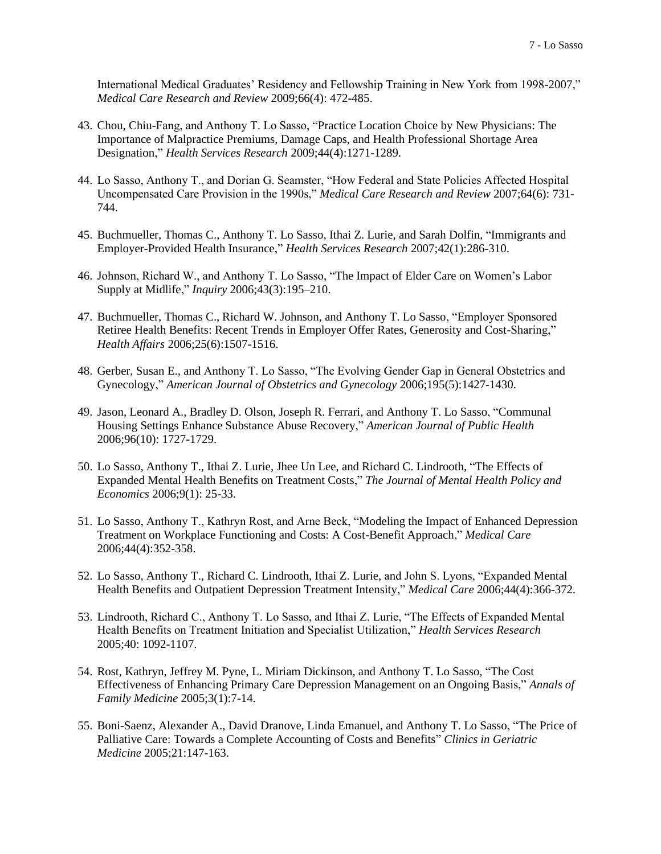International Medical Graduates' Residency and Fellowship Training in New York from 1998-2007," *Medical Care Research and Review* 2009;66(4): 472-485.

- 43. Chou, Chiu-Fang, and Anthony T. Lo Sasso, "Practice Location Choice by New Physicians: The Importance of Malpractice Premiums, Damage Caps, and Health Professional Shortage Area Designation," *Health Services Research* 2009;44(4):1271-1289.
- 44. Lo Sasso, Anthony T., and Dorian G. Seamster, "How Federal and State Policies Affected Hospital Uncompensated Care Provision in the 1990s," *Medical Care Research and Review* 2007;64(6): 731- 744.
- 45. Buchmueller, Thomas C., Anthony T. Lo Sasso, Ithai Z. Lurie, and Sarah Dolfin, "Immigrants and Employer-Provided Health Insurance," *Health Services Research* 2007;42(1):286-310.
- 46. Johnson, Richard W., and Anthony T. Lo Sasso, "The Impact of Elder Care on Women's Labor Supply at Midlife," *Inquiry* 2006;43(3):195–210.
- 47. Buchmueller, Thomas C., Richard W. Johnson, and Anthony T. Lo Sasso, "Employer Sponsored Retiree Health Benefits: Recent Trends in Employer Offer Rates, Generosity and Cost-Sharing," *Health Affairs* 2006;25(6):1507-1516.
- 48. Gerber, Susan E., and Anthony T. Lo Sasso, "The Evolving Gender Gap in General Obstetrics and Gynecology," *American Journal of Obstetrics and Gynecology* 2006;195(5):1427-1430.
- 49. Jason, Leonard A., Bradley D. Olson, Joseph R. Ferrari, and Anthony T. Lo Sasso, "Communal Housing Settings Enhance Substance Abuse Recovery," *American Journal of Public Health* 2006;96(10): 1727-1729.
- 50. Lo Sasso, Anthony T., Ithai Z. Lurie, Jhee Un Lee, and Richard C. Lindrooth, "The Effects of Expanded Mental Health Benefits on Treatment Costs," *The Journal of Mental Health Policy and Economics* 2006;9(1): 25-33.
- 51. Lo Sasso, Anthony T., Kathryn Rost, and Arne Beck, "Modeling the Impact of Enhanced Depression Treatment on Workplace Functioning and Costs: A Cost-Benefit Approach," *Medical Care* 2006;44(4):352-358.
- 52. Lo Sasso, Anthony T., Richard C. Lindrooth, Ithai Z. Lurie, and John S. Lyons, "Expanded Mental Health Benefits and Outpatient Depression Treatment Intensity," *Medical Care* 2006;44(4):366-372.
- 53. Lindrooth, Richard C., Anthony T. Lo Sasso, and Ithai Z. Lurie, "The Effects of Expanded Mental Health Benefits on Treatment Initiation and Specialist Utilization," *Health Services Research* 2005;40: 1092-1107.
- 54. Rost, Kathryn, Jeffrey M. Pyne, L. Miriam Dickinson, and Anthony T. Lo Sasso, "The Cost Effectiveness of Enhancing Primary Care Depression Management on an Ongoing Basis," *Annals of Family Medicine* 2005;3(1):7-14.
- 55. Boni-Saenz, Alexander A., David Dranove, Linda Emanuel, and Anthony T. Lo Sasso, "The Price of Palliative Care: Towards a Complete Accounting of Costs and Benefits" *Clinics in Geriatric Medicine* 2005;21:147-163.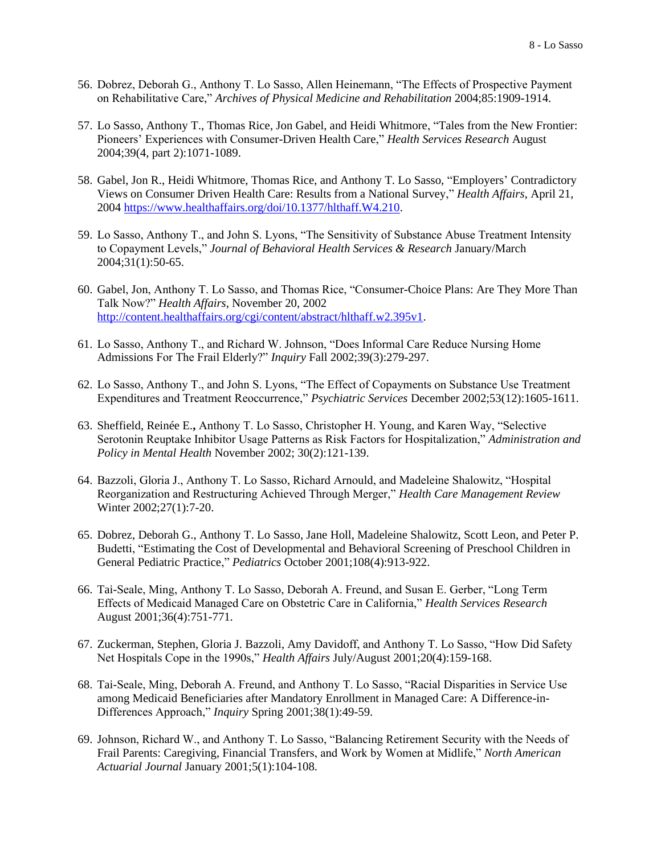- 56. Dobrez, Deborah G., Anthony T. Lo Sasso, Allen Heinemann, "The Effects of Prospective Payment on Rehabilitative Care," *Archives of Physical Medicine and Rehabilitation* 2004;85:1909-1914.
- 57. Lo Sasso, Anthony T., Thomas Rice, Jon Gabel, and Heidi Whitmore, "Tales from the New Frontier: Pioneers' Experiences with Consumer-Driven Health Care," *Health Services Research* August 2004;39(4, part 2):1071-1089.
- 58. Gabel, Jon R., Heidi Whitmore, Thomas Rice, and Anthony T. Lo Sasso, "Employers' Contradictory Views on Consumer Driven Health Care: Results from a National Survey," *Health Affairs*, April 21, 2004 [https://www.healthaffairs.org/doi/10.1377/hlthaff.W4.210.](https://www.healthaffairs.org/doi/10.1377/hlthaff.W4.210)
- 59. Lo Sasso, Anthony T., and John S. Lyons, "The Sensitivity of Substance Abuse Treatment Intensity to Copayment Levels," *Journal of Behavioral Health Services & Research* January/March 2004;31(1):50-65.
- 60. Gabel, Jon, Anthony T. Lo Sasso, and Thomas Rice, "Consumer-Choice Plans: Are They More Than Talk Now?" *Health Affairs*, November 20, 2002 [http://content.healthaffairs.org/cgi/content/abstract/hlthaff.w2.395v1.](http://content.healthaffairs.org/cgi/content/abstract/hlthaff.w2.395v1)
- 61. Lo Sasso, Anthony T., and Richard W. Johnson, "Does Informal Care Reduce Nursing Home Admissions For The Frail Elderly?" *Inquiry* Fall 2002;39(3):279-297.
- 62. Lo Sasso, Anthony T., and John S. Lyons, "The Effect of Copayments on Substance Use Treatment Expenditures and Treatment Reoccurrence," *Psychiatric Services* December 2002;53(12):1605-1611.
- 63. Sheffield, Reinée E.**,** Anthony T. Lo Sasso, Christopher H. Young, and Karen Way, "Selective Serotonin Reuptake Inhibitor Usage Patterns as Risk Factors for Hospitalization," *Administration and Policy in Mental Health* November 2002; 30(2):121-139.
- 64. Bazzoli, Gloria J., Anthony T. Lo Sasso, Richard Arnould, and Madeleine Shalowitz, "Hospital Reorganization and Restructuring Achieved Through Merger," *Health Care Management Review* Winter 2002;27(1):7-20.
- 65. Dobrez, Deborah G., Anthony T. Lo Sasso, Jane Holl, Madeleine Shalowitz, Scott Leon, and Peter P. Budetti, "Estimating the Cost of Developmental and Behavioral Screening of Preschool Children in General Pediatric Practice," *Pediatrics* October 2001;108(4):913-922.
- 66. Tai-Seale, Ming, Anthony T. Lo Sasso, Deborah A. Freund, and Susan E. Gerber, "Long Term Effects of Medicaid Managed Care on Obstetric Care in California," *Health Services Research* August 2001;36(4):751-771.
- 67. Zuckerman, Stephen, Gloria J. Bazzoli, Amy Davidoff, and Anthony T. Lo Sasso, "How Did Safety Net Hospitals Cope in the 1990s," *Health Affairs* July/August 2001;20(4):159-168.
- 68. Tai-Seale, Ming, Deborah A. Freund, and Anthony T. Lo Sasso, "Racial Disparities in Service Use among Medicaid Beneficiaries after Mandatory Enrollment in Managed Care: A Difference-in-Differences Approach," *Inquiry* Spring 2001;38(1):49-59.
- 69. Johnson, Richard W., and Anthony T. Lo Sasso, "Balancing Retirement Security with the Needs of Frail Parents: Caregiving, Financial Transfers, and Work by Women at Midlife," *North American Actuarial Journal* January 2001;5(1):104-108.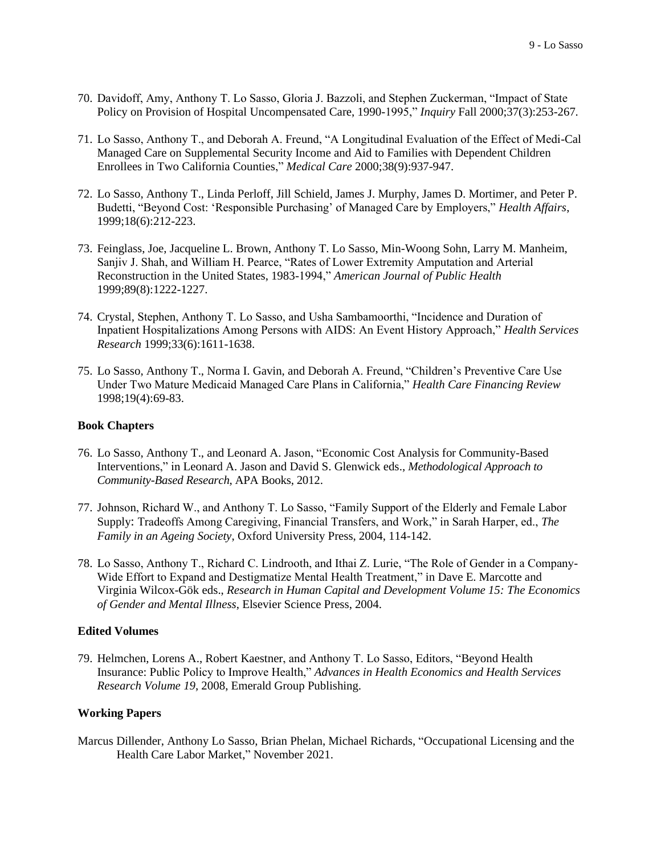- 70. Davidoff, Amy, Anthony T. Lo Sasso, Gloria J. Bazzoli, and Stephen Zuckerman, "Impact of State Policy on Provision of Hospital Uncompensated Care, 1990-1995," *Inquiry* Fall 2000;37(3):253-267.
- 71. Lo Sasso, Anthony T., and Deborah A. Freund, "A Longitudinal Evaluation of the Effect of Medi-Cal Managed Care on Supplemental Security Income and Aid to Families with Dependent Children Enrollees in Two California Counties," *Medical Care* 2000;38(9):937-947.
- 72. Lo Sasso, Anthony T., Linda Perloff, Jill Schield, James J. Murphy, James D. Mortimer, and Peter P. Budetti, "Beyond Cost: 'Responsible Purchasing' of Managed Care by Employers," *Health Affairs*, 1999;18(6):212-223.
- 73. Feinglass, Joe, Jacqueline L. Brown, Anthony T. Lo Sasso, Min-Woong Sohn, Larry M. Manheim, Sanjiv J. Shah, and William H. Pearce, "Rates of Lower Extremity Amputation and Arterial Reconstruction in the United States, 1983-1994," *American Journal of Public Health* 1999;89(8):1222-1227.
- 74. Crystal, Stephen, Anthony T. Lo Sasso, and Usha Sambamoorthi, "Incidence and Duration of Inpatient Hospitalizations Among Persons with AIDS: An Event History Approach," *Health Services Research* 1999;33(6):1611-1638.
- 75. Lo Sasso, Anthony T., Norma I. Gavin, and Deborah A. Freund, "Children's Preventive Care Use Under Two Mature Medicaid Managed Care Plans in California," *Health Care Financing Review* 1998;19(4):69-83.

### **Book Chapters**

- 76. Lo Sasso, Anthony T., and Leonard A. Jason, "Economic Cost Analysis for Community-Based Interventions," in Leonard A. Jason and David S. Glenwick eds., *Methodological Approach to Community-Based Research*, APA Books, 2012.
- 77. Johnson, Richard W., and Anthony T. Lo Sasso, "Family Support of the Elderly and Female Labor Supply: Tradeoffs Among Caregiving, Financial Transfers, and Work," in Sarah Harper, ed., *The Family in an Ageing Society*, Oxford University Press, 2004, 114-142.
- 78. Lo Sasso, Anthony T., Richard C. Lindrooth, and Ithai Z. Lurie, "The Role of Gender in a Company-Wide Effort to Expand and Destigmatize Mental Health Treatment," in Dave E. Marcotte and Virginia Wilcox-Gök eds., *Research in Human Capital and Development Volume 15: The Economics of Gender and Mental Illness*, Elsevier Science Press, 2004.

### **Edited Volumes**

79. Helmchen, Lorens A., Robert Kaestner, and Anthony T. Lo Sasso, Editors, "Beyond Health Insurance: Public Policy to Improve Health," *Advances in Health Economics and Health Services Research Volume 19*, 2008, Emerald Group Publishing.

### **Working Papers**

Marcus Dillender, Anthony Lo Sasso, Brian Phelan, Michael Richards, "Occupational Licensing and the Health Care Labor Market," November 2021.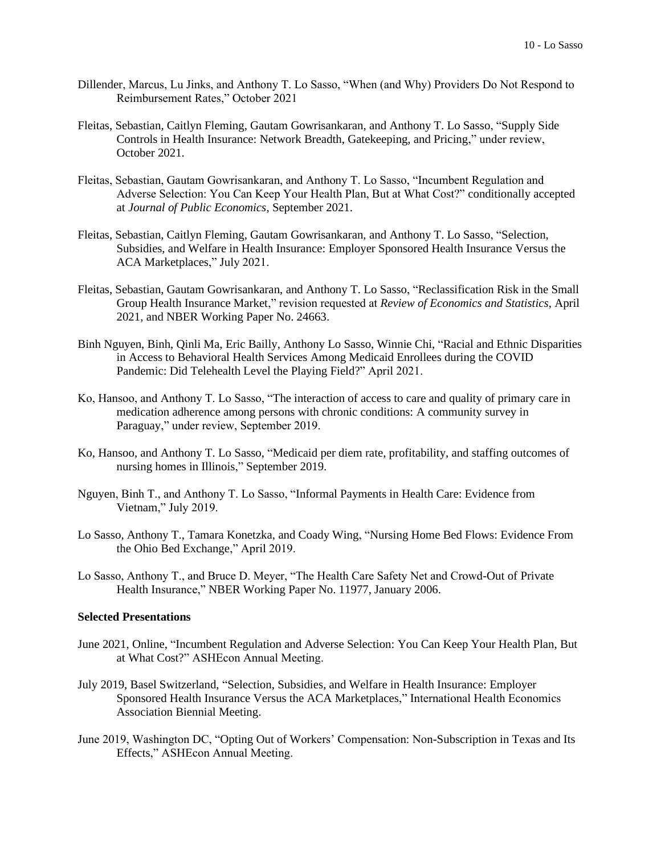- Dillender, Marcus, Lu Jinks, and Anthony T. Lo Sasso, "When (and Why) Providers Do Not Respond to Reimbursement Rates," October 2021
- Fleitas, Sebastian, Caitlyn Fleming, Gautam Gowrisankaran, and Anthony T. Lo Sasso, "Supply Side Controls in Health Insurance: Network Breadth, Gatekeeping, and Pricing," under review, October 2021.
- Fleitas, Sebastian, Gautam Gowrisankaran, and Anthony T. Lo Sasso, "Incumbent Regulation and Adverse Selection: You Can Keep Your Health Plan, But at What Cost?" conditionally accepted at *Journal of Public Economics*, September 2021.
- Fleitas, Sebastian, Caitlyn Fleming, Gautam Gowrisankaran, and Anthony T. Lo Sasso, "Selection, Subsidies, and Welfare in Health Insurance: Employer Sponsored Health Insurance Versus the ACA Marketplaces," July 2021.
- Fleitas, Sebastian, Gautam Gowrisankaran, and Anthony T. Lo Sasso, "Reclassification Risk in the Small Group Health Insurance Market," revision requested at *Review of Economics and Statistics*, April 2021, and NBER Working Paper No. 24663.
- Binh Nguyen, Binh, Qinli Ma, Eric Bailly, Anthony Lo Sasso, Winnie Chi, "Racial and Ethnic Disparities in Access to Behavioral Health Services Among Medicaid Enrollees during the COVID Pandemic: Did Telehealth Level the Playing Field?" April 2021.
- Ko, Hansoo, and Anthony T. Lo Sasso, "The interaction of access to care and quality of primary care in medication adherence among persons with chronic conditions: A community survey in Paraguay," under review, September 2019.
- Ko, Hansoo, and Anthony T. Lo Sasso, "Medicaid per diem rate, profitability, and staffing outcomes of nursing homes in Illinois," September 2019.
- Nguyen, Binh T., and Anthony T. Lo Sasso, "Informal Payments in Health Care: Evidence from Vietnam," July 2019.
- Lo Sasso, Anthony T., Tamara Konetzka, and Coady Wing, "Nursing Home Bed Flows: Evidence From the Ohio Bed Exchange," April 2019.
- Lo Sasso, Anthony T., and Bruce D. Meyer, "The Health Care Safety Net and Crowd-Out of Private Health Insurance," NBER Working Paper No. 11977, January 2006.

# **Selected Presentations**

- June 2021, Online, "Incumbent Regulation and Adverse Selection: You Can Keep Your Health Plan, But at What Cost?" ASHEcon Annual Meeting.
- July 2019, Basel Switzerland, "Selection, Subsidies, and Welfare in Health Insurance: Employer Sponsored Health Insurance Versus the ACA Marketplaces," International Health Economics Association Biennial Meeting.
- June 2019, Washington DC, "Opting Out of Workers' Compensation: Non-Subscription in Texas and Its Effects," ASHEcon Annual Meeting.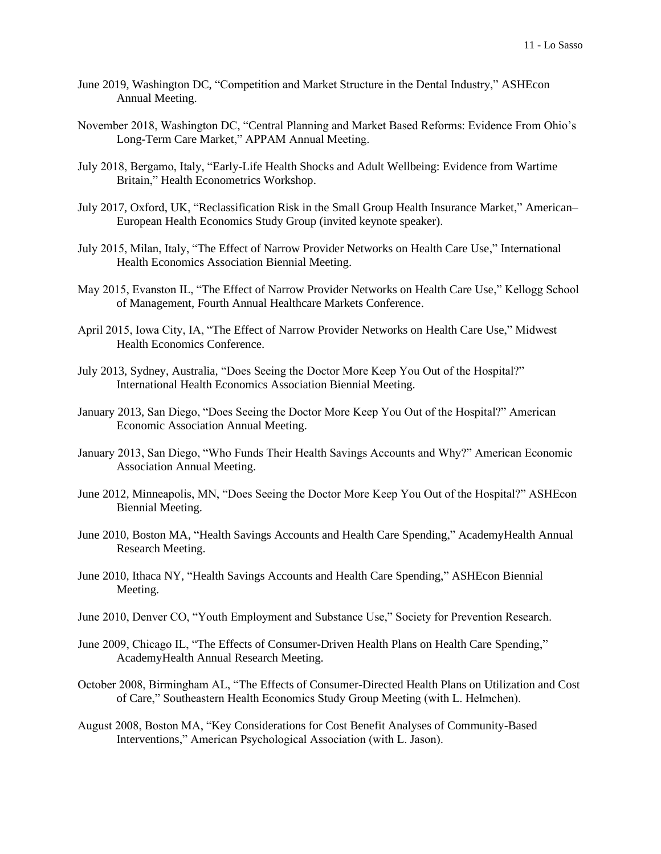- June 2019, Washington DC, "Competition and Market Structure in the Dental Industry," ASHEcon Annual Meeting.
- November 2018, Washington DC, "Central Planning and Market Based Reforms: Evidence From Ohio's Long-Term Care Market," APPAM Annual Meeting.
- July 2018, Bergamo, Italy, "Early-Life Health Shocks and Adult Wellbeing: Evidence from Wartime Britain," Health Econometrics Workshop.
- July 2017, Oxford, UK, "Reclassification Risk in the Small Group Health Insurance Market," American– European Health Economics Study Group (invited keynote speaker).
- July 2015, Milan, Italy, "The Effect of Narrow Provider Networks on Health Care Use," International Health Economics Association Biennial Meeting.
- May 2015, Evanston IL, "The Effect of Narrow Provider Networks on Health Care Use," Kellogg School of Management, Fourth Annual Healthcare Markets Conference.
- April 2015, Iowa City, IA, "The Effect of Narrow Provider Networks on Health Care Use," Midwest Health Economics Conference.
- July 2013, Sydney, Australia, "Does Seeing the Doctor More Keep You Out of the Hospital?" International Health Economics Association Biennial Meeting.
- January 2013, San Diego, "Does Seeing the Doctor More Keep You Out of the Hospital?" American Economic Association Annual Meeting.
- January 2013, San Diego, "Who Funds Their Health Savings Accounts and Why?" American Economic Association Annual Meeting.
- June 2012, Minneapolis, MN, "Does Seeing the Doctor More Keep You Out of the Hospital?" ASHEcon Biennial Meeting.
- June 2010, Boston MA, "Health Savings Accounts and Health Care Spending," AcademyHealth Annual Research Meeting.
- June 2010, Ithaca NY, "Health Savings Accounts and Health Care Spending," ASHEcon Biennial Meeting.
- June 2010, Denver CO, "Youth Employment and Substance Use," Society for Prevention Research.
- June 2009, Chicago IL, "The Effects of Consumer-Driven Health Plans on Health Care Spending," AcademyHealth Annual Research Meeting.
- October 2008, Birmingham AL, "The Effects of Consumer-Directed Health Plans on Utilization and Cost of Care," Southeastern Health Economics Study Group Meeting (with L. Helmchen).
- August 2008, Boston MA, "Key Considerations for Cost Benefit Analyses of Community-Based Interventions," American Psychological Association (with L. Jason).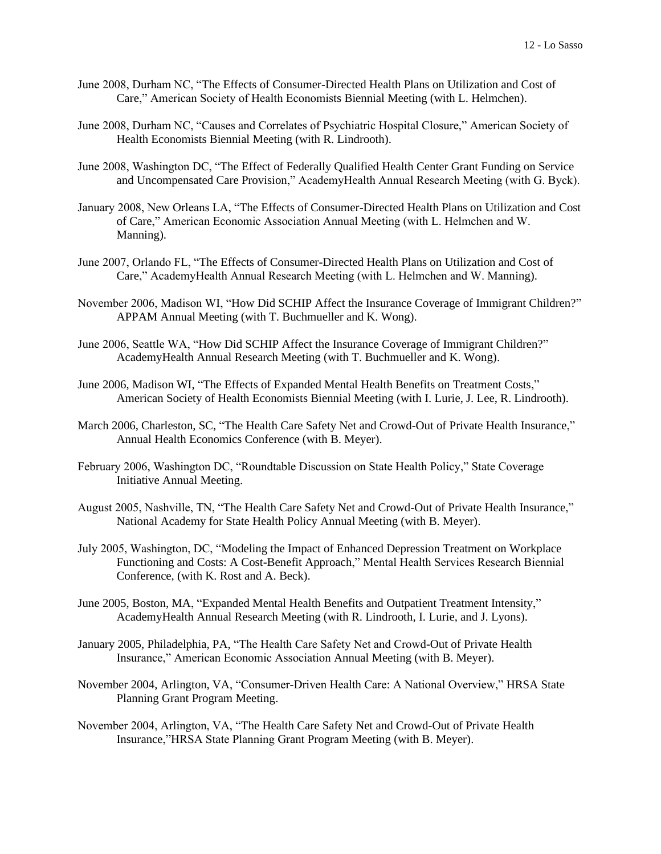- June 2008, Durham NC, "The Effects of Consumer-Directed Health Plans on Utilization and Cost of Care," American Society of Health Economists Biennial Meeting (with L. Helmchen).
- June 2008, Durham NC, "Causes and Correlates of Psychiatric Hospital Closure," American Society of Health Economists Biennial Meeting (with R. Lindrooth).
- June 2008, Washington DC, "The Effect of Federally Qualified Health Center Grant Funding on Service and Uncompensated Care Provision," AcademyHealth Annual Research Meeting (with G. Byck).
- January 2008, New Orleans LA, "The Effects of Consumer-Directed Health Plans on Utilization and Cost of Care," American Economic Association Annual Meeting (with L. Helmchen and W. Manning).
- June 2007, Orlando FL, "The Effects of Consumer-Directed Health Plans on Utilization and Cost of Care," AcademyHealth Annual Research Meeting (with L. Helmchen and W. Manning).
- November 2006, Madison WI, "How Did SCHIP Affect the Insurance Coverage of Immigrant Children?" APPAM Annual Meeting (with T. Buchmueller and K. Wong).
- June 2006, Seattle WA, "How Did SCHIP Affect the Insurance Coverage of Immigrant Children?" AcademyHealth Annual Research Meeting (with T. Buchmueller and K. Wong).
- June 2006, Madison WI, "The Effects of Expanded Mental Health Benefits on Treatment Costs," American Society of Health Economists Biennial Meeting (with I. Lurie, J. Lee, R. Lindrooth).
- March 2006, Charleston, SC, "The Health Care Safety Net and Crowd-Out of Private Health Insurance," Annual Health Economics Conference (with B. Meyer).
- February 2006, Washington DC, "Roundtable Discussion on State Health Policy," State Coverage Initiative Annual Meeting.
- August 2005, Nashville, TN, "The Health Care Safety Net and Crowd-Out of Private Health Insurance," National Academy for State Health Policy Annual Meeting (with B. Meyer).
- July 2005, Washington, DC, "Modeling the Impact of Enhanced Depression Treatment on Workplace Functioning and Costs: A Cost-Benefit Approach," Mental Health Services Research Biennial Conference, (with K. Rost and A. Beck).
- June 2005, Boston, MA, "Expanded Mental Health Benefits and Outpatient Treatment Intensity," AcademyHealth Annual Research Meeting (with R. Lindrooth, I. Lurie, and J. Lyons).
- January 2005, Philadelphia, PA, "The Health Care Safety Net and Crowd-Out of Private Health Insurance," American Economic Association Annual Meeting (with B. Meyer).
- November 2004, Arlington, VA, "Consumer-Driven Health Care: A National Overview," HRSA State Planning Grant Program Meeting.
- November 2004, Arlington, VA, "The Health Care Safety Net and Crowd-Out of Private Health Insurance,"HRSA State Planning Grant Program Meeting (with B. Meyer).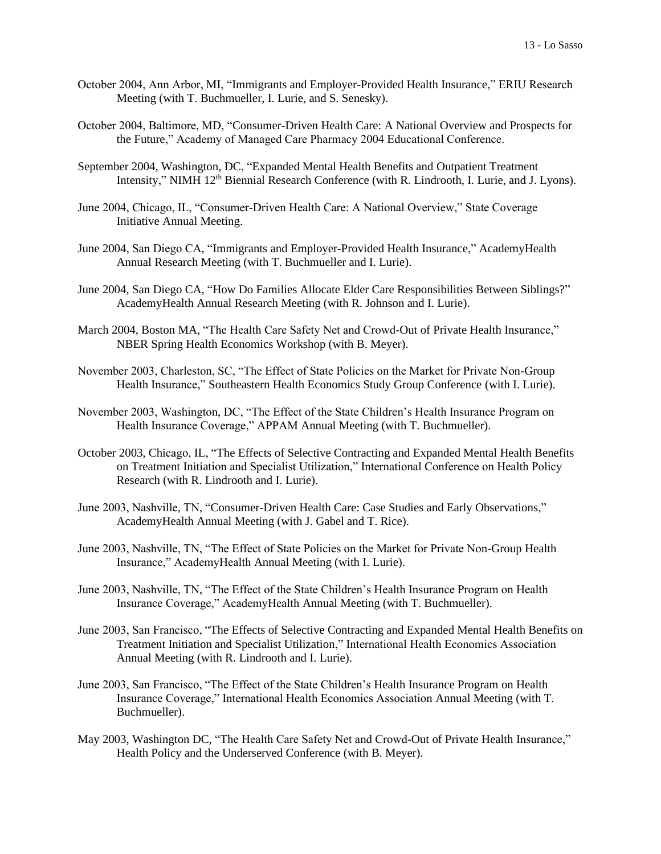- October 2004, Ann Arbor, MI, "Immigrants and Employer-Provided Health Insurance," ERIU Research Meeting (with T. Buchmueller, I. Lurie, and S. Senesky).
- October 2004, Baltimore, MD, "Consumer-Driven Health Care: A National Overview and Prospects for the Future," Academy of Managed Care Pharmacy 2004 Educational Conference.
- September 2004, Washington, DC, "Expanded Mental Health Benefits and Outpatient Treatment Intensity," NIMH 12<sup>th</sup> Biennial Research Conference (with R. Lindrooth, I. Lurie, and J. Lyons).
- June 2004, Chicago, IL, "Consumer-Driven Health Care: A National Overview," State Coverage Initiative Annual Meeting.
- June 2004, San Diego CA, "Immigrants and Employer-Provided Health Insurance," AcademyHealth Annual Research Meeting (with T. Buchmueller and I. Lurie).
- June 2004, San Diego CA, "How Do Families Allocate Elder Care Responsibilities Between Siblings?" AcademyHealth Annual Research Meeting (with R. Johnson and I. Lurie).
- March 2004, Boston MA, "The Health Care Safety Net and Crowd-Out of Private Health Insurance," NBER Spring Health Economics Workshop (with B. Meyer).
- November 2003, Charleston, SC, "The Effect of State Policies on the Market for Private Non-Group Health Insurance," Southeastern Health Economics Study Group Conference (with I. Lurie).
- November 2003, Washington, DC, "The Effect of the State Children's Health Insurance Program on Health Insurance Coverage," APPAM Annual Meeting (with T. Buchmueller).
- October 2003, Chicago, IL, "The Effects of Selective Contracting and Expanded Mental Health Benefits on Treatment Initiation and Specialist Utilization," International Conference on Health Policy Research (with R. Lindrooth and I. Lurie).
- June 2003, Nashville, TN, "Consumer-Driven Health Care: Case Studies and Early Observations," AcademyHealth Annual Meeting (with J. Gabel and T. Rice).
- June 2003, Nashville, TN, "The Effect of State Policies on the Market for Private Non-Group Health Insurance," AcademyHealth Annual Meeting (with I. Lurie).
- June 2003, Nashville, TN, "The Effect of the State Children's Health Insurance Program on Health Insurance Coverage," AcademyHealth Annual Meeting (with T. Buchmueller).
- June 2003, San Francisco, "The Effects of Selective Contracting and Expanded Mental Health Benefits on Treatment Initiation and Specialist Utilization," International Health Economics Association Annual Meeting (with R. Lindrooth and I. Lurie).
- June 2003, San Francisco, "The Effect of the State Children's Health Insurance Program on Health Insurance Coverage," International Health Economics Association Annual Meeting (with T. Buchmueller).
- May 2003, Washington DC, "The Health Care Safety Net and Crowd-Out of Private Health Insurance," Health Policy and the Underserved Conference (with B. Meyer).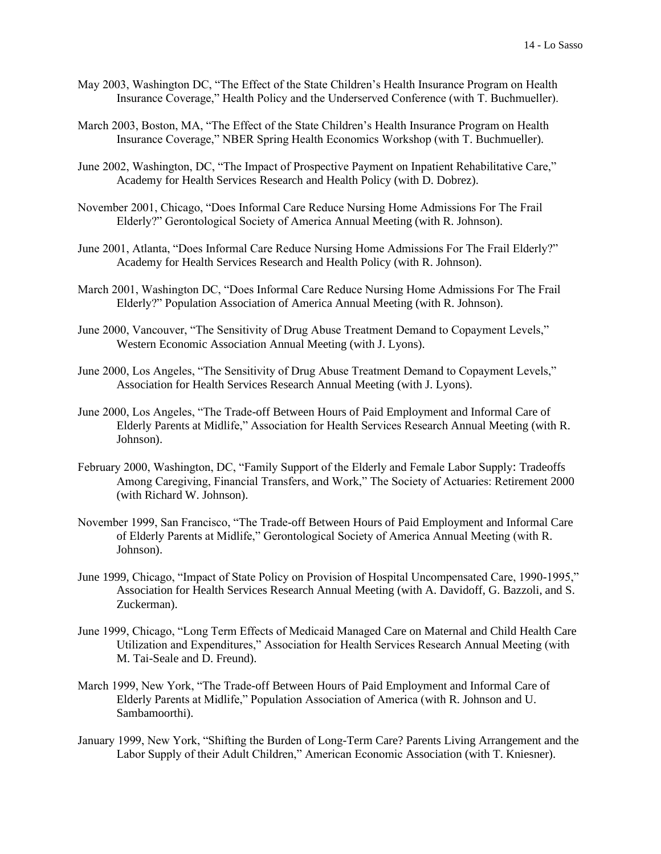- May 2003, Washington DC, "The Effect of the State Children's Health Insurance Program on Health Insurance Coverage," Health Policy and the Underserved Conference (with T. Buchmueller).
- March 2003, Boston, MA, "The Effect of the State Children's Health Insurance Program on Health Insurance Coverage," NBER Spring Health Economics Workshop (with T. Buchmueller).
- June 2002, Washington, DC, "The Impact of Prospective Payment on Inpatient Rehabilitative Care," Academy for Health Services Research and Health Policy (with D. Dobrez).
- November 2001, Chicago, "Does Informal Care Reduce Nursing Home Admissions For The Frail Elderly?" Gerontological Society of America Annual Meeting (with R. Johnson).
- June 2001, Atlanta, "Does Informal Care Reduce Nursing Home Admissions For The Frail Elderly?" Academy for Health Services Research and Health Policy (with R. Johnson).
- March 2001, Washington DC, "Does Informal Care Reduce Nursing Home Admissions For The Frail Elderly?" Population Association of America Annual Meeting (with R. Johnson).
- June 2000, Vancouver, "The Sensitivity of Drug Abuse Treatment Demand to Copayment Levels," Western Economic Association Annual Meeting (with J. Lyons).
- June 2000, Los Angeles, "The Sensitivity of Drug Abuse Treatment Demand to Copayment Levels," Association for Health Services Research Annual Meeting (with J. Lyons).
- June 2000, Los Angeles, "The Trade-off Between Hours of Paid Employment and Informal Care of Elderly Parents at Midlife," Association for Health Services Research Annual Meeting (with R. Johnson).
- February 2000, Washington, DC, "Family Support of the Elderly and Female Labor Supply: Tradeoffs Among Caregiving, Financial Transfers, and Work," The Society of Actuaries: Retirement 2000 (with Richard W. Johnson).
- November 1999, San Francisco, "The Trade-off Between Hours of Paid Employment and Informal Care of Elderly Parents at Midlife," Gerontological Society of America Annual Meeting (with R. Johnson).
- June 1999, Chicago, "Impact of State Policy on Provision of Hospital Uncompensated Care, 1990-1995," Association for Health Services Research Annual Meeting (with A. Davidoff, G. Bazzoli, and S. Zuckerman).
- June 1999, Chicago, "Long Term Effects of Medicaid Managed Care on Maternal and Child Health Care Utilization and Expenditures," Association for Health Services Research Annual Meeting (with M. Tai-Seale and D. Freund).
- March 1999, New York, "The Trade-off Between Hours of Paid Employment and Informal Care of Elderly Parents at Midlife," Population Association of America (with R. Johnson and U. Sambamoorthi).
- January 1999, New York, "Shifting the Burden of Long-Term Care? Parents Living Arrangement and the Labor Supply of their Adult Children," American Economic Association (with T. Kniesner).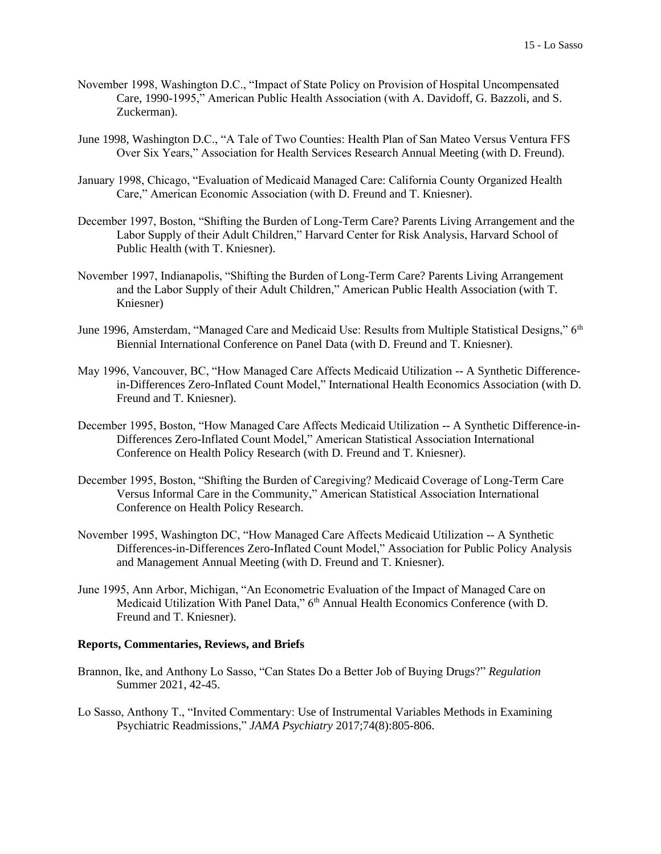- November 1998, Washington D.C., "Impact of State Policy on Provision of Hospital Uncompensated Care, 1990-1995," American Public Health Association (with A. Davidoff, G. Bazzoli, and S. Zuckerman).
- June 1998, Washington D.C., "A Tale of Two Counties: Health Plan of San Mateo Versus Ventura FFS Over Six Years," Association for Health Services Research Annual Meeting (with D. Freund).
- January 1998, Chicago, "Evaluation of Medicaid Managed Care: California County Organized Health Care," American Economic Association (with D. Freund and T. Kniesner).
- December 1997, Boston, "Shifting the Burden of Long-Term Care? Parents Living Arrangement and the Labor Supply of their Adult Children," Harvard Center for Risk Analysis, Harvard School of Public Health (with T. Kniesner).
- November 1997, Indianapolis, "Shifting the Burden of Long-Term Care? Parents Living Arrangement and the Labor Supply of their Adult Children," American Public Health Association (with T. Kniesner)
- June 1996, Amsterdam, "Managed Care and Medicaid Use: Results from Multiple Statistical Designs," 6<sup>th</sup> Biennial International Conference on Panel Data (with D. Freund and T. Kniesner).
- May 1996, Vancouver, BC, "How Managed Care Affects Medicaid Utilization -- A Synthetic Differencein-Differences Zero-Inflated Count Model," International Health Economics Association (with D. Freund and T. Kniesner).
- December 1995, Boston, "How Managed Care Affects Medicaid Utilization -- A Synthetic Difference-in-Differences Zero-Inflated Count Model," American Statistical Association International Conference on Health Policy Research (with D. Freund and T. Kniesner).
- December 1995, Boston, "Shifting the Burden of Caregiving? Medicaid Coverage of Long-Term Care Versus Informal Care in the Community," American Statistical Association International Conference on Health Policy Research.
- November 1995, Washington DC, "How Managed Care Affects Medicaid Utilization -- A Synthetic Differences-in-Differences Zero-Inflated Count Model," Association for Public Policy Analysis and Management Annual Meeting (with D. Freund and T. Kniesner).
- June 1995, Ann Arbor, Michigan, "An Econometric Evaluation of the Impact of Managed Care on Medicaid Utilization With Panel Data," 6<sup>th</sup> Annual Health Economics Conference (with D. Freund and T. Kniesner).

### **Reports, Commentaries, Reviews, and Briefs**

- Brannon, Ike, and Anthony Lo Sasso, "Can States Do a Better Job of Buying Drugs?" *Regulation*  Summer 2021, 42-45.
- Lo Sasso, Anthony T., "Invited Commentary: Use of Instrumental Variables Methods in Examining Psychiatric Readmissions," *JAMA Psychiatry* 2017;74(8):805-806.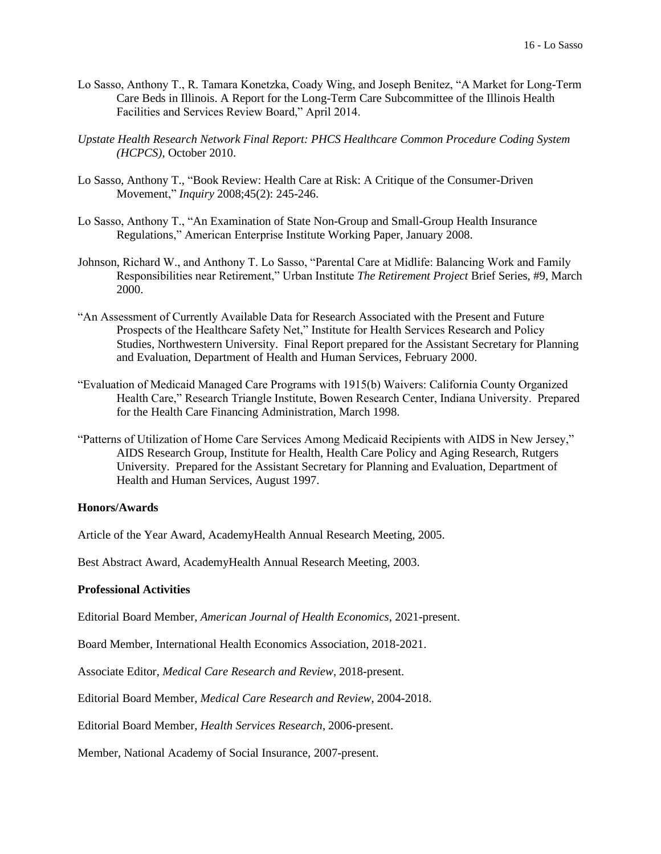- Lo Sasso, Anthony T., R. Tamara Konetzka, Coady Wing, and Joseph Benitez, "A Market for Long-Term Care Beds in Illinois. A Report for the Long-Term Care Subcommittee of the Illinois Health Facilities and Services Review Board," April 2014.
- *Upstate Health Research Network Final Report: PHCS Healthcare Common Procedure Coding System (HCPCS)*, October 2010.
- Lo Sasso, Anthony T., "Book Review: Health Care at Risk: A Critique of the Consumer-Driven Movement," *Inquiry* 2008;45(2): 245-246.
- Lo Sasso, Anthony T., "An Examination of State Non-Group and Small-Group Health Insurance Regulations," American Enterprise Institute Working Paper, January 2008.
- Johnson, Richard W., and Anthony T. Lo Sasso, "Parental Care at Midlife: Balancing Work and Family Responsibilities near Retirement," Urban Institute *The Retirement Project* Brief Series, #9, March 2000.
- "An Assessment of Currently Available Data for Research Associated with the Present and Future Prospects of the Healthcare Safety Net," Institute for Health Services Research and Policy Studies, Northwestern University. Final Report prepared for the Assistant Secretary for Planning and Evaluation, Department of Health and Human Services, February 2000.
- "Evaluation of Medicaid Managed Care Programs with 1915(b) Waivers: California County Organized Health Care," Research Triangle Institute, Bowen Research Center, Indiana University. Prepared for the Health Care Financing Administration, March 1998.
- "Patterns of Utilization of Home Care Services Among Medicaid Recipients with AIDS in New Jersey," AIDS Research Group, Institute for Health, Health Care Policy and Aging Research, Rutgers University. Prepared for the Assistant Secretary for Planning and Evaluation, Department of Health and Human Services, August 1997.

## **Honors/Awards**

Article of the Year Award, AcademyHealth Annual Research Meeting, 2005.

Best Abstract Award, AcademyHealth Annual Research Meeting, 2003.

### **Professional Activities**

Editorial Board Member, *American Journal of Health Economics*, 2021-present.

Board Member, International Health Economics Association, 2018-2021.

Associate Editor, *Medical Care Research and Review*, 2018-present.

Editorial Board Member, *Medical Care Research and Review*, 2004-2018.

Editorial Board Member, *Health Services Research*, 2006-present.

Member, National Academy of Social Insurance, 2007-present.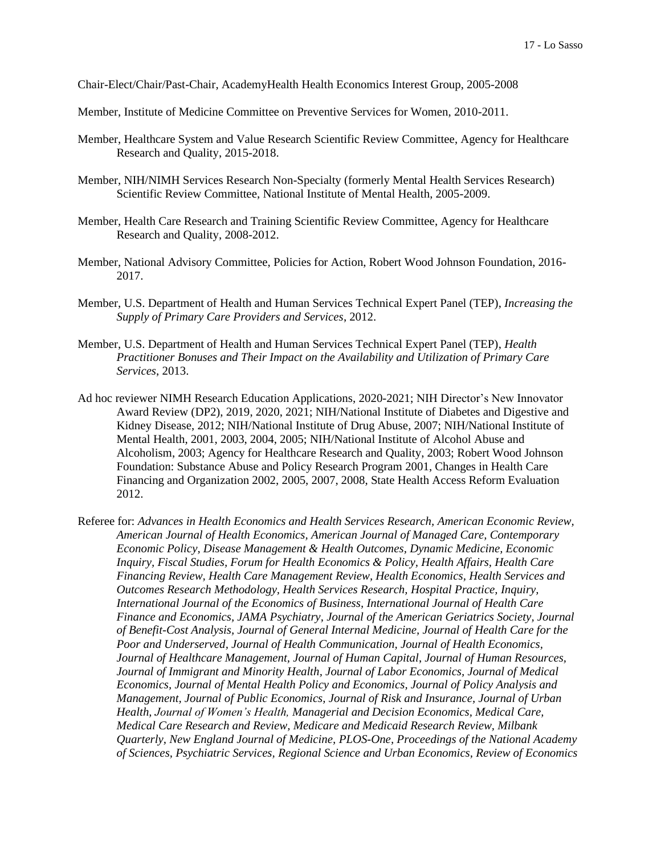Chair-Elect/Chair/Past-Chair, AcademyHealth Health Economics Interest Group, 2005-2008

- Member, Institute of Medicine Committee on Preventive Services for Women, 2010-2011.
- Member, Healthcare System and Value Research Scientific Review Committee, Agency for Healthcare Research and Quality, 2015-2018.
- Member, NIH/NIMH Services Research Non-Specialty (formerly Mental Health Services Research) Scientific Review Committee, National Institute of Mental Health, 2005-2009.
- Member, Health Care Research and Training Scientific Review Committee, Agency for Healthcare Research and Quality, 2008-2012.
- Member, National Advisory Committee, Policies for Action, Robert Wood Johnson Foundation, 2016- 2017.
- Member, U.S. Department of Health and Human Services Technical Expert Panel (TEP), *Increasing the Supply of Primary Care Providers and Services*, 2012.
- Member, U.S. Department of Health and Human Services Technical Expert Panel (TEP), *Health Practitioner Bonuses and Their Impact on the Availability and Utilization of Primary Care Services*, 2013.
- Ad hoc reviewer NIMH Research Education Applications, 2020-2021; NIH Director's New Innovator Award Review (DP2), 2019, 2020, 2021; NIH/National Institute of Diabetes and Digestive and Kidney Disease, 2012; NIH/National Institute of Drug Abuse, 2007; NIH/National Institute of Mental Health, 2001, 2003, 2004, 2005; NIH/National Institute of Alcohol Abuse and Alcoholism, 2003; Agency for Healthcare Research and Quality, 2003; Robert Wood Johnson Foundation: Substance Abuse and Policy Research Program 2001, Changes in Health Care Financing and Organization 2002, 2005, 2007, 2008, State Health Access Reform Evaluation 2012.
- Referee for: *Advances in Health Economics and Health Services Research, American Economic Review, American Journal of Health Economics, American Journal of Managed Care, Contemporary Economic Policy, Disease Management & Health Outcomes, Dynamic Medicine, Economic Inquiry, Fiscal Studies, Forum for Health Economics & Policy, Health Affairs, Health Care Financing Review, Health Care Management Review, Health Economics, Health Services and Outcomes Research Methodology, Health Services Research, Hospital Practice, Inquiry, International Journal of the Economics of Business, International Journal of Health Care Finance and Economics, JAMA Psychiatry, Journal of the American Geriatrics Society, Journal of Benefit-Cost Analysis, Journal of General Internal Medicine, Journal of Health Care for the Poor and Underserved, Journal of Health Communication, Journal of Health Economics, Journal of Healthcare Management, Journal of Human Capital*, *Journal of Human Resources, Journal of Immigrant and Minority Health, Journal of Labor Economics, Journal of Medical Economics, Journal of Mental Health Policy and Economics, Journal of Policy Analysis and Management, Journal of Public Economics, Journal of Risk and Insurance, Journal of Urban Health, Journal of Women's Health, Managerial and Decision Economics, Medical Care, Medical Care Research and Review, Medicare and Medicaid Research Review, Milbank Quarterly, New England Journal of Medicine, PLOS-One, Proceedings of the National Academy of Sciences, Psychiatric Services, Regional Science and Urban Economics, Review of Economics*